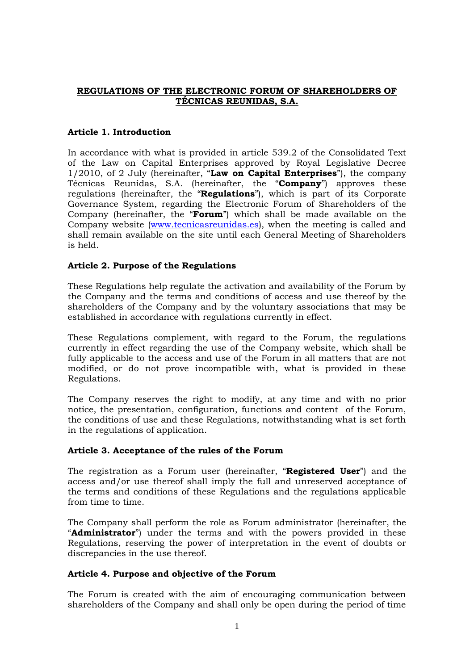# **REGULATIONS OF THE ELECTRONIC FORUM OF SHAREHOLDERS OF TÉCNICAS REUNIDAS, S.A.**

# **Article 1. Introduction**

In accordance with what is provided in article 539.2 of the Consolidated Text of the Law on Capital Enterprises approved by Royal Legislative Decree 1/2010, of 2 July (hereinafter, "**Law on Capital Enterprises**"), the company Técnicas Reunidas, S.A. (hereinafter, the "**Company**") approves these regulations (hereinafter, the "**Regulations**"), which is part of its Corporate Governance System, regarding the Electronic Forum of Shareholders of the Company (hereinafter, the "**Forum**") which shall be made available on the Company website [\(www.tecnicasreunidas.es\)](http://www.tecnicasreunidas.es/), when the meeting is called and shall remain available on the site until each General Meeting of Shareholders is held.

# **Article 2. Purpose of the Regulations**

These Regulations help regulate the activation and availability of the Forum by the Company and the terms and conditions of access and use thereof by the shareholders of the Company and by the voluntary associations that may be established in accordance with regulations currently in effect.

These Regulations complement, with regard to the Forum, the regulations currently in effect regarding the use of the Company website, which shall be fully applicable to the access and use of the Forum in all matters that are not modified, or do not prove incompatible with, what is provided in these Regulations.

The Company reserves the right to modify, at any time and with no prior notice, the presentation, configuration, functions and content of the Forum, the conditions of use and these Regulations, notwithstanding what is set forth in the regulations of application.

# **Article 3. Acceptance of the rules of the Forum**

The registration as a Forum user (hereinafter, "**Registered User**") and the access and/or use thereof shall imply the full and unreserved acceptance of the terms and conditions of these Regulations and the regulations applicable from time to time.

The Company shall perform the role as Forum administrator (hereinafter, the "**Administrator**") under the terms and with the powers provided in these Regulations, reserving the power of interpretation in the event of doubts or discrepancies in the use thereof.

# **Article 4. Purpose and objective of the Forum**

The Forum is created with the aim of encouraging communication between shareholders of the Company and shall only be open during the period of time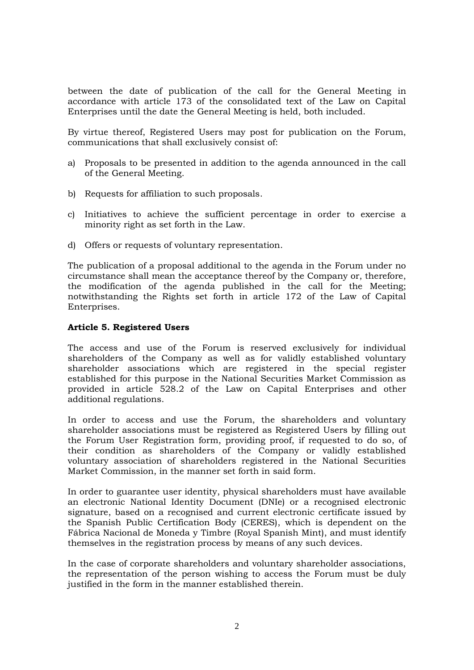between the date of publication of the call for the General Meeting in accordance with article 173 of the consolidated text of the Law on Capital Enterprises until the date the General Meeting is held, both included.

By virtue thereof, Registered Users may post for publication on the Forum, communications that shall exclusively consist of:

- a) Proposals to be presented in addition to the agenda announced in the call of the General Meeting.
- b) Requests for affiliation to such proposals.
- c) Initiatives to achieve the sufficient percentage in order to exercise a minority right as set forth in the Law.
- d) Offers or requests of voluntary representation.

The publication of a proposal additional to the agenda in the Forum under no circumstance shall mean the acceptance thereof by the Company or, therefore, the modification of the agenda published in the call for the Meeting; notwithstanding the Rights set forth in article 172 of the Law of Capital Enterprises.

### **Article 5. Registered Users**

The access and use of the Forum is reserved exclusively for individual shareholders of the Company as well as for validly established voluntary shareholder associations which are registered in the special register established for this purpose in the National Securities Market Commission as provided in article 528.2 of the Law on Capital Enterprises and other additional regulations.

In order to access and use the Forum, the shareholders and voluntary shareholder associations must be registered as Registered Users by filling out the Forum User Registration form, providing proof, if requested to do so, of their condition as shareholders of the Company or validly established voluntary association of shareholders registered in the National Securities Market Commission, in the manner set forth in said form.

In order to guarantee user identity, physical shareholders must have available an electronic National Identity Document (DNIe) or a recognised electronic signature, based on a recognised and current electronic certificate issued by the Spanish Public Certification Body (CERES), which is dependent on the Fábrica Nacional de Moneda y Timbre (Royal Spanish Mint), and must identify themselves in the registration process by means of any such devices.

In the case of corporate shareholders and voluntary shareholder associations, the representation of the person wishing to access the Forum must be duly justified in the form in the manner established therein.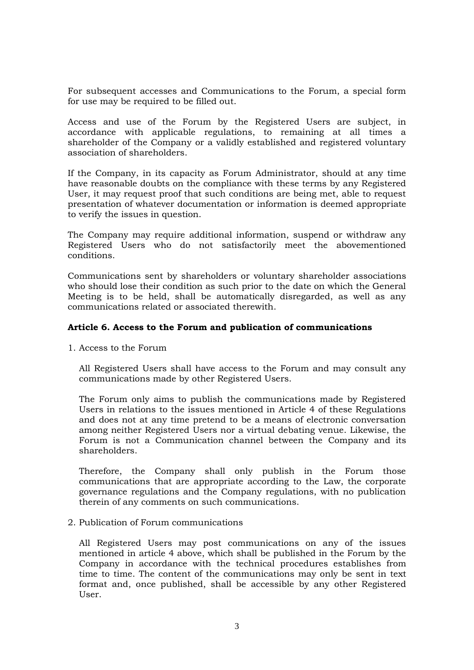For subsequent accesses and Communications to the Forum, a special form for use may be required to be filled out.

Access and use of the Forum by the Registered Users are subject, in accordance with applicable regulations, to remaining at all times a shareholder of the Company or a validly established and registered voluntary association of shareholders.

If the Company, in its capacity as Forum Administrator, should at any time have reasonable doubts on the compliance with these terms by any Registered User, it may request proof that such conditions are being met, able to request presentation of whatever documentation or information is deemed appropriate to verify the issues in question.

The Company may require additional information, suspend or withdraw any Registered Users who do not satisfactorily meet the abovementioned conditions.

Communications sent by shareholders or voluntary shareholder associations who should lose their condition as such prior to the date on which the General Meeting is to be held, shall be automatically disregarded, as well as any communications related or associated therewith.

### **Article 6. Access to the Forum and publication of communications**

1. Access to the Forum

All Registered Users shall have access to the Forum and may consult any communications made by other Registered Users.

The Forum only aims to publish the communications made by Registered Users in relations to the issues mentioned in Article 4 of these Regulations and does not at any time pretend to be a means of electronic conversation among neither Registered Users nor a virtual debating venue. Likewise, the Forum is not a Communication channel between the Company and its shareholders.

Therefore, the Company shall only publish in the Forum those communications that are appropriate according to the Law, the corporate governance regulations and the Company regulations, with no publication therein of any comments on such communications.

2. Publication of Forum communications

All Registered Users may post communications on any of the issues mentioned in article 4 above, which shall be published in the Forum by the Company in accordance with the technical procedures establishes from time to time. The content of the communications may only be sent in text format and, once published, shall be accessible by any other Registered User.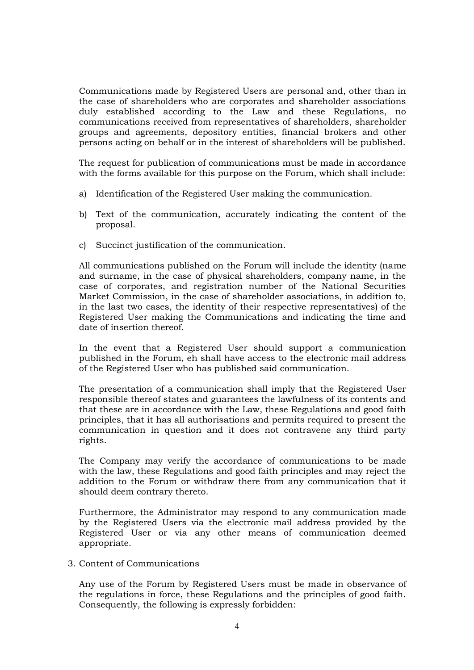Communications made by Registered Users are personal and, other than in the case of shareholders who are corporates and shareholder associations duly established according to the Law and these Regulations, no communications received from representatives of shareholders, shareholder groups and agreements, depository entities, financial brokers and other persons acting on behalf or in the interest of shareholders will be published.

The request for publication of communications must be made in accordance with the forms available for this purpose on the Forum, which shall include:

- a) Identification of the Registered User making the communication.
- b) Text of the communication, accurately indicating the content of the proposal.
- c) Succinct justification of the communication.

All communications published on the Forum will include the identity (name and surname, in the case of physical shareholders, company name, in the case of corporates, and registration number of the National Securities Market Commission, in the case of shareholder associations, in addition to, in the last two cases, the identity of their respective representatives) of the Registered User making the Communications and indicating the time and date of insertion thereof.

In the event that a Registered User should support a communication published in the Forum, eh shall have access to the electronic mail address of the Registered User who has published said communication.

The presentation of a communication shall imply that the Registered User responsible thereof states and guarantees the lawfulness of its contents and that these are in accordance with the Law, these Regulations and good faith principles, that it has all authorisations and permits required to present the communication in question and it does not contravene any third party rights.

The Company may verify the accordance of communications to be made with the law, these Regulations and good faith principles and may reject the addition to the Forum or withdraw there from any communication that it should deem contrary thereto.

Furthermore, the Administrator may respond to any communication made by the Registered Users via the electronic mail address provided by the Registered User or via any other means of communication deemed appropriate.

3. Content of Communications

Any use of the Forum by Registered Users must be made in observance of the regulations in force, these Regulations and the principles of good faith. Consequently, the following is expressly forbidden: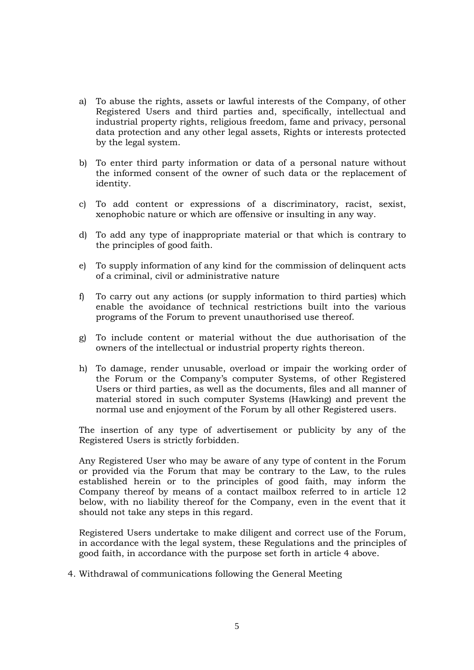- a) To abuse the rights, assets or lawful interests of the Company, of other Registered Users and third parties and, specifically, intellectual and industrial property rights, religious freedom, fame and privacy, personal data protection and any other legal assets, Rights or interests protected by the legal system.
- b) To enter third party information or data of a personal nature without the informed consent of the owner of such data or the replacement of identity.
- c) To add content or expressions of a discriminatory, racist, sexist, xenophobic nature or which are offensive or insulting in any way.
- d) To add any type of inappropriate material or that which is contrary to the principles of good faith.
- e) To supply information of any kind for the commission of delinquent acts of a criminal, civil or administrative nature
- f) To carry out any actions (or supply information to third parties) which enable the avoidance of technical restrictions built into the various programs of the Forum to prevent unauthorised use thereof.
- g) To include content or material without the due authorisation of the owners of the intellectual or industrial property rights thereon.
- h) To damage, render unusable, overload or impair the working order of the Forum or the Company's computer Systems, of other Registered Users or third parties, as well as the documents, files and all manner of material stored in such computer Systems (Hawking) and prevent the normal use and enjoyment of the Forum by all other Registered users.

The insertion of any type of advertisement or publicity by any of the Registered Users is strictly forbidden.

Any Registered User who may be aware of any type of content in the Forum or provided via the Forum that may be contrary to the Law, to the rules established herein or to the principles of good faith, may inform the Company thereof by means of a contact mailbox referred to in article 12 below, with no liability thereof for the Company, even in the event that it should not take any steps in this regard.

Registered Users undertake to make diligent and correct use of the Forum, in accordance with the legal system, these Regulations and the principles of good faith, in accordance with the purpose set forth in article 4 above.

4. Withdrawal of communications following the General Meeting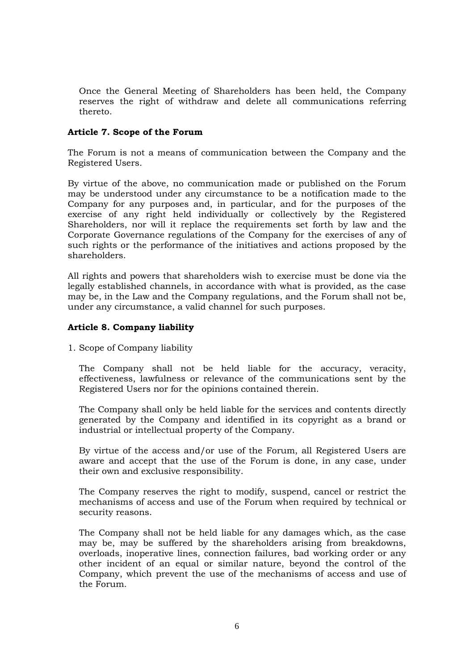Once the General Meeting of Shareholders has been held, the Company reserves the right of withdraw and delete all communications referring thereto.

### **Article 7. Scope of the Forum**

The Forum is not a means of communication between the Company and the Registered Users.

By virtue of the above, no communication made or published on the Forum may be understood under any circumstance to be a notification made to the Company for any purposes and, in particular, and for the purposes of the exercise of any right held individually or collectively by the Registered Shareholders, nor will it replace the requirements set forth by law and the Corporate Governance regulations of the Company for the exercises of any of such rights or the performance of the initiatives and actions proposed by the shareholders.

All rights and powers that shareholders wish to exercise must be done via the legally established channels, in accordance with what is provided, as the case may be, in the Law and the Company regulations, and the Forum shall not be, under any circumstance, a valid channel for such purposes.

# **Article 8. Company liability**

1. Scope of Company liability

The Company shall not be held liable for the accuracy, veracity, effectiveness, lawfulness or relevance of the communications sent by the Registered Users nor for the opinions contained therein.

The Company shall only be held liable for the services and contents directly generated by the Company and identified in its copyright as a brand or industrial or intellectual property of the Company.

By virtue of the access and/or use of the Forum, all Registered Users are aware and accept that the use of the Forum is done, in any case, under their own and exclusive responsibility.

The Company reserves the right to modify, suspend, cancel or restrict the mechanisms of access and use of the Forum when required by technical or security reasons.

The Company shall not be held liable for any damages which, as the case may be, may be suffered by the shareholders arising from breakdowns, overloads, inoperative lines, connection failures, bad working order or any other incident of an equal or similar nature, beyond the control of the Company, which prevent the use of the mechanisms of access and use of the Forum.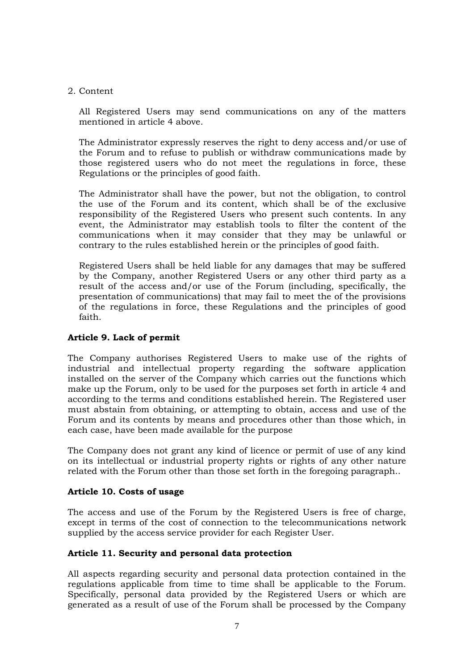#### 2. Content

All Registered Users may send communications on any of the matters mentioned in article 4 above.

The Administrator expressly reserves the right to deny access and/or use of the Forum and to refuse to publish or withdraw communications made by those registered users who do not meet the regulations in force, these Regulations or the principles of good faith.

The Administrator shall have the power, but not the obligation, to control the use of the Forum and its content, which shall be of the exclusive responsibility of the Registered Users who present such contents. In any event, the Administrator may establish tools to filter the content of the communications when it may consider that they may be unlawful or contrary to the rules established herein or the principles of good faith.

Registered Users shall be held liable for any damages that may be suffered by the Company, another Registered Users or any other third party as a result of the access and/or use of the Forum (including, specifically, the presentation of communications) that may fail to meet the of the provisions of the regulations in force, these Regulations and the principles of good faith.

# **Article 9. Lack of permit**

The Company authorises Registered Users to make use of the rights of industrial and intellectual property regarding the software application installed on the server of the Company which carries out the functions which make up the Forum, only to be used for the purposes set forth in article 4 and according to the terms and conditions established herein. The Registered user must abstain from obtaining, or attempting to obtain, access and use of the Forum and its contents by means and procedures other than those which, in each case, have been made available for the purpose

The Company does not grant any kind of licence or permit of use of any kind on its intellectual or industrial property rights or rights of any other nature related with the Forum other than those set forth in the foregoing paragraph..

# **Article 10. Costs of usage**

The access and use of the Forum by the Registered Users is free of charge, except in terms of the cost of connection to the telecommunications network supplied by the access service provider for each Register User.

# **Article 11. Security and personal data protection**

All aspects regarding security and personal data protection contained in the regulations applicable from time to time shall be applicable to the Forum. Specifically, personal data provided by the Registered Users or which are generated as a result of use of the Forum shall be processed by the Company